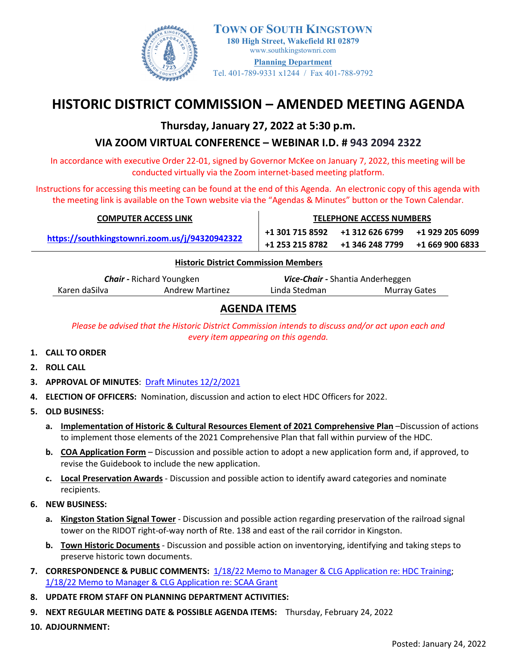

 **180 High Street, Wakefield RI 02879 TOWN OF SOUTH KINGSTOWN** [www.southkingstownri.com](http://www.southkingstownri.com/) **Planning Department** Tel. 401-789-9331 x1244 / Fax 401-788-9792

# **HISTORIC DISTRICT COMMISSION – AMENDED MEETING AGENDA**

### **Thursday, January 27, 2022 at 5:30 p.m.**

## **VIA ZOOM VIRTUAL CONFERENCE – WEBINAR I.D. # 943 2094 2322**

In accordance with executive Order 22-01, signed by Governor McKee on January 7, 2022, this meeting will be conducted virtually via the Zoom internet-based meeting platform.

Instructions for accessing this meeting can be found at the end of this Agenda. An electronic copy of this agenda with the meeting link is available on the Town website via the "Agendas & Minutes" button or the Town Calendar.

| <b>COMPUTER ACCESS LINK</b>                    | <b>TELEPHONE ACCESS NUMBERS</b> |                                                                                                       |  |  |  |  |
|------------------------------------------------|---------------------------------|-------------------------------------------------------------------------------------------------------|--|--|--|--|
| https://southkingstownri.zoom.us/j/94320942322 |                                 | $+13017158592$ $+13126266799$ $+19292056099$<br>$+1$ 253 215 8782 $+1$ 346 248 7799 $+1$ 669 900 6833 |  |  |  |  |
| <b>Uistoris District Commission Monshore</b>   |                                 |                                                                                                       |  |  |  |  |

#### **Historic District Commission Members**

| <b>Chair - Richard Youngken</b> |                        | Vice-Chair - Shantia Anderheggen |              |  |
|---------------------------------|------------------------|----------------------------------|--------------|--|
| Karen daSilva                   | <b>Andrew Martinez</b> | Linda Stedman                    | Murray Gates |  |

### **AGENDA ITEMS**

*Please be advised that the Historic District Commission intends to discuss and/or act upon each and every item appearing on this agenda.* 

- **1. CALL TO ORDER**
- **2. ROLL CALL**
- **3. APPROVAL OF MINUTES**: [Draft Minutes 12/2/2021](https://www.southkingstownri.com/DocumentCenter/View/9383/Minutes-HDC2021-12-2draft)
- **4. ELECTION OF OFFICERS:** Nomination, discussion and action to elect HDC Officers for 2022.
- **5. OLD BUSINESS:** 
	- **a. Implementation of Historic & Cultural Resources Element of 2021 Comprehensive Plan** –Discussion of actions to implement those elements of the 2021 Comprehensive Plan that fall within purview of the HDC.
	- **b. COA Application Form** Discussion and possible action to adopt a new application form and, if approved, to revise the Guidebook to include the new application.
	- **c. Local Preservation Awards** Discussion and possible action to identify award categories and nominate recipients.
- **6. NEW BUSINESS:** 
	- **a. Kingston Station Signal Tower** Discussion and possible action regarding preservation of the railroad signal tower on the RIDOT right-of-way north of Rte. 138 and east of the rail corridor in Kingston.
	- **b. Town Historic Documents** Discussion and possible action on inventorying, identifying and taking steps to preserve historic town documents.
- **7. CORRESPONDENCE & PUBLIC COMMENTS:** [1/18/22 Memo to Manager & CLG Application re: HDC Training;](https://www.southkingstownri.com/DocumentCenter/View/9392/2022-1-18_Memo-to-TM-re-HDC-Training-Grant) [1/18/22 Memo to Manager & CLG Application re: SCAA Grant](https://www.southkingstownri.com/DocumentCenter/View/9391/2022-1-18_Memo-to-TM-re-SCAA-Grant)
- **8. UPDATE FROM STAFF ON PLANNING DEPARTMENT ACTIVITIES:**
- **9. NEXT REGULAR MEETING DATE & POSSIBLE AGENDA ITEMS:** Thursday, February 24, 2022
- **10. ADJOURNMENT:**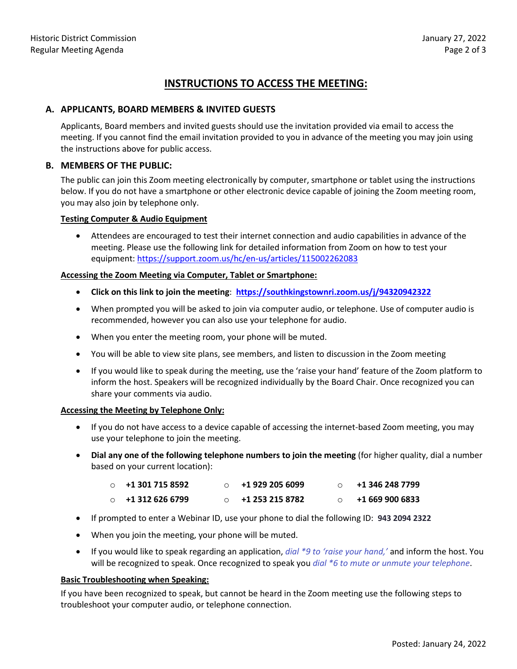### **INSTRUCTIONS TO ACCESS THE MEETING:**

#### **A. APPLICANTS, BOARD MEMBERS & INVITED GUESTS**

Applicants, Board members and invited guests should use the invitation provided via email to access the meeting. If you cannot find the email invitation provided to you in advance of the meeting you may join using the instructions above for public access.

#### **B. MEMBERS OF THE PUBLIC:**

The public can join this Zoom meeting electronically by computer, smartphone or tablet using the instructions below. If you do not have a smartphone or other electronic device capable of joining the Zoom meeting room, you may also join by telephone only.

#### **Testing Computer & Audio Equipment**

 Attendees are encouraged to test their internet connection and audio capabilities in advance of the meeting. Please use the following link for detailed information from Zoom on how to test your equipment[: https://support.zoom.us/hc/en-us/articles/115002262083](https://support.zoom.us/hc/en-us/articles/115002262083)

#### **Accessing the Zoom Meeting via Computer, Tablet or Smartphone:**

- **Click on this link to join the meeting**: **[https://southkingstownri.zoom.us/j/94320942322](https://southkingstownri.zoom.us/j/93626225715)**
- When prompted you will be asked to join via computer audio, or telephone. Use of computer audio is recommended, however you can also use your telephone for audio.
- When you enter the meeting room, your phone will be muted.
- You will be able to view site plans, see members, and listen to discussion in the Zoom meeting
- If you would like to speak during the meeting, use the 'raise your hand' feature of the Zoom platform to inform the host. Speakers will be recognized individually by the Board Chair. Once recognized you can share your comments via audio.

#### **Accessing the Meeting by Telephone Only:**

- If you do not have access to a device capable of accessing the internet-based Zoom meeting, you may use your telephone to join the meeting.
- **Dial any one of the following telephone numbers to join the meeting** (for higher quality, dial a number based on your current location):

| $\circ$ +1 301 715 8592 | +1 929 205 6099 | +1 346 248 7799 |
|-------------------------|-----------------|-----------------|
| $\circ$ +1 312 626 6799 | +1 253 215 8782 | +1 669 900 6833 |

- If prompted to enter a Webinar ID, use your phone to dial the following ID: **943 2094 2322**
- When you join the meeting, your phone will be muted.
- If you would like to speak regarding an application, *dial \*9 to 'raise your hand,'* and inform the host. You will be recognized to speak. Once recognized to speak you *dial \*6 to mute or unmute your telephone*.

#### **Basic Troubleshooting when Speaking:**

If you have been recognized to speak, but cannot be heard in the Zoom meeting use the following steps to troubleshoot your computer audio, or telephone connection.